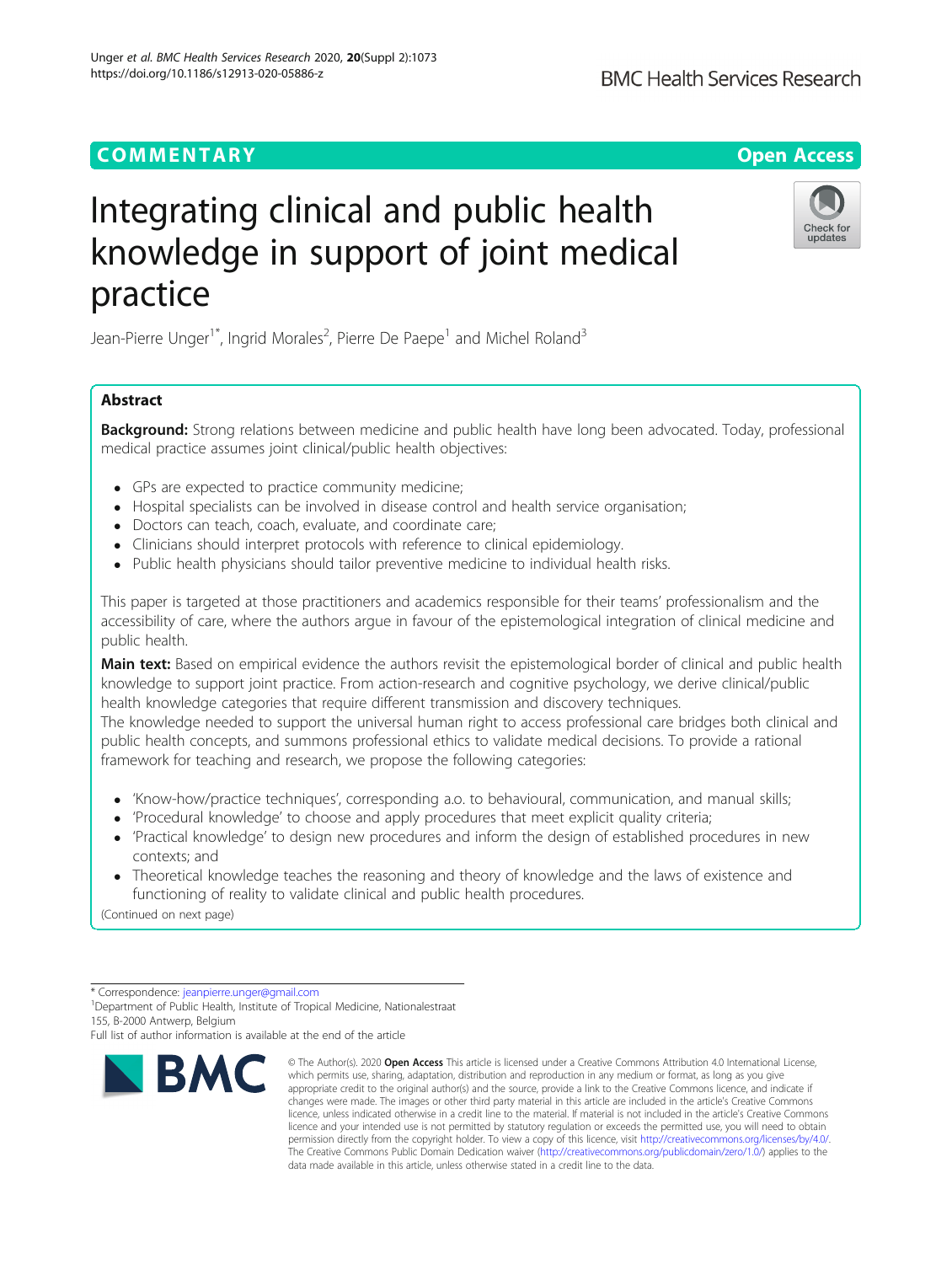# **COMMENTARY COMMENTARY Open Access**

# Integrating clinical and public health knowledge in support of joint medical practice

Jean-Pierre Unger<sup>1\*</sup>, Ingrid Morales<sup>2</sup>, Pierre De Paepe<sup>1</sup> and Michel Roland<sup>3</sup>

# Abstract

**Background:** Strong relations between medicine and public health have long been advocated. Today, professional medical practice assumes joint clinical/public health objectives:

- GPs are expected to practice community medicine;
- Hospital specialists can be involved in disease control and health service organisation;
- Doctors can teach, coach, evaluate, and coordinate care;
- Clinicians should interpret protocols with reference to clinical epidemiology.
- Public health physicians should tailor preventive medicine to individual health risks.

This paper is targeted at those practitioners and academics responsible for their teams' professionalism and the accessibility of care, where the authors argue in favour of the epistemological integration of clinical medicine and public health.

Main text: Based on empirical evidence the authors revisit the epistemological border of clinical and public health knowledge to support joint practice. From action-research and cognitive psychology, we derive clinical/public health knowledge categories that require different transmission and discovery techniques.

The knowledge needed to support the universal human right to access professional care bridges both clinical and public health concepts, and summons professional ethics to validate medical decisions. To provide a rational framework for teaching and research, we propose the following categories:

- 'Know-how/practice techniques', corresponding a.o. to behavioural, communication, and manual skills;
- 'Procedural knowledge' to choose and apply procedures that meet explicit quality criteria;
- 'Practical knowledge' to design new procedures and inform the design of established procedures in new contexts; and
- Theoretical knowledge teaches the reasoning and theory of knowledge and the laws of existence and functioning of reality to validate clinical and public health procedures.

(Continued on next page)



© The Author(s), 2020 **Open Access** This article is licensed under a Creative Commons Attribution 4.0 International License, which permits use, sharing, adaptation, distribution and reproduction in any medium or format, as long as you give



<sup>\*</sup> Correspondence: [jeanpierre.unger@gmail.com](mailto:jeanpierre.unger@gmail.com) <sup>1</sup>

<sup>&</sup>lt;sup>1</sup> Department of Public Health, Institute of Tropical Medicine, Nationalestraat 155, B-2000 Antwerp, Belgium

Full list of author information is available at the end of the article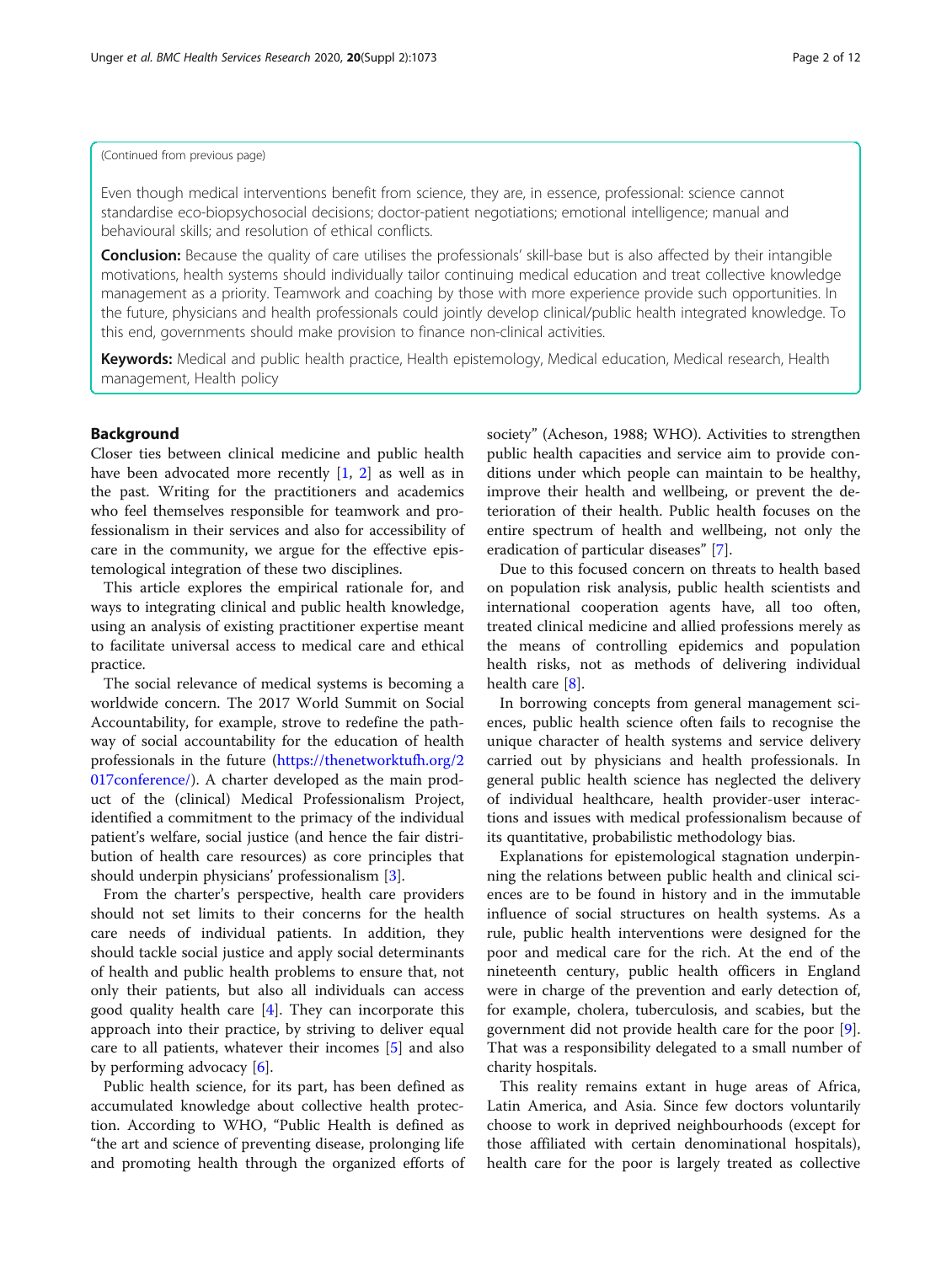(Continued from previous page)

Even though medical interventions benefit from science, they are, in essence, professional: science cannot standardise eco-biopsychosocial decisions; doctor-patient negotiations; emotional intelligence; manual and behavioural skills; and resolution of ethical conflicts.

**Conclusion:** Because the quality of care utilises the professionals' skill-base but is also affected by their intangible motivations, health systems should individually tailor continuing medical education and treat collective knowledge management as a priority. Teamwork and coaching by those with more experience provide such opportunities. In the future, physicians and health professionals could jointly develop clinical/public health integrated knowledge. To this end, governments should make provision to finance non-clinical activities.

Keywords: Medical and public health practice, Health epistemology, Medical education, Medical research, Health management, Health policy

# Background

Closer ties between clinical medicine and public health have been advocated more recently [[1](#page-10-0), [2\]](#page-10-0) as well as in the past. Writing for the practitioners and academics who feel themselves responsible for teamwork and professionalism in their services and also for accessibility of care in the community, we argue for the effective epistemological integration of these two disciplines.

This article explores the empirical rationale for, and ways to integrating clinical and public health knowledge, using an analysis of existing practitioner expertise meant to facilitate universal access to medical care and ethical practice.

The social relevance of medical systems is becoming a worldwide concern. The 2017 World Summit on Social Accountability, for example, strove to redefine the pathway of social accountability for the education of health professionals in the future [\(https://thenetworktufh.org/2](https://thenetworktufh.org/2017conference/) [017conference/\)](https://thenetworktufh.org/2017conference/). A charter developed as the main product of the (clinical) Medical Professionalism Project, identified a commitment to the primacy of the individual patient's welfare, social justice (and hence the fair distribution of health care resources) as core principles that should underpin physicians' professionalism [\[3](#page-10-0)].

From the charter's perspective, health care providers should not set limits to their concerns for the health care needs of individual patients. In addition, they should tackle social justice and apply social determinants of health and public health problems to ensure that, not only their patients, but also all individuals can access good quality health care  $[4]$  $[4]$  $[4]$ . They can incorporate this approach into their practice, by striving to deliver equal care to all patients, whatever their incomes [\[5](#page-10-0)] and also by performing advocacy [[6\]](#page-10-0).

Public health science, for its part, has been defined as accumulated knowledge about collective health protection. According to WHO, "Public Health is defined as "the art and science of preventing disease, prolonging life and promoting health through the organized efforts of society" (Acheson, 1988; WHO). Activities to strengthen public health capacities and service aim to provide conditions under which people can maintain to be healthy, improve their health and wellbeing, or prevent the deterioration of their health. Public health focuses on the entire spectrum of health and wellbeing, not only the eradication of particular diseases" [\[7](#page-10-0)].

Due to this focused concern on threats to health based on population risk analysis, public health scientists and international cooperation agents have, all too often, treated clinical medicine and allied professions merely as the means of controlling epidemics and population health risks, not as methods of delivering individual health care [[8\]](#page-10-0).

In borrowing concepts from general management sciences, public health science often fails to recognise the unique character of health systems and service delivery carried out by physicians and health professionals. In general public health science has neglected the delivery of individual healthcare, health provider-user interactions and issues with medical professionalism because of its quantitative, probabilistic methodology bias.

Explanations for epistemological stagnation underpinning the relations between public health and clinical sciences are to be found in history and in the immutable influence of social structures on health systems. As a rule, public health interventions were designed for the poor and medical care for the rich. At the end of the nineteenth century, public health officers in England were in charge of the prevention and early detection of, for example, cholera, tuberculosis, and scabies, but the government did not provide health care for the poor [\[9](#page-10-0)]. That was a responsibility delegated to a small number of charity hospitals.

This reality remains extant in huge areas of Africa, Latin America, and Asia. Since few doctors voluntarily choose to work in deprived neighbourhoods (except for those affiliated with certain denominational hospitals), health care for the poor is largely treated as collective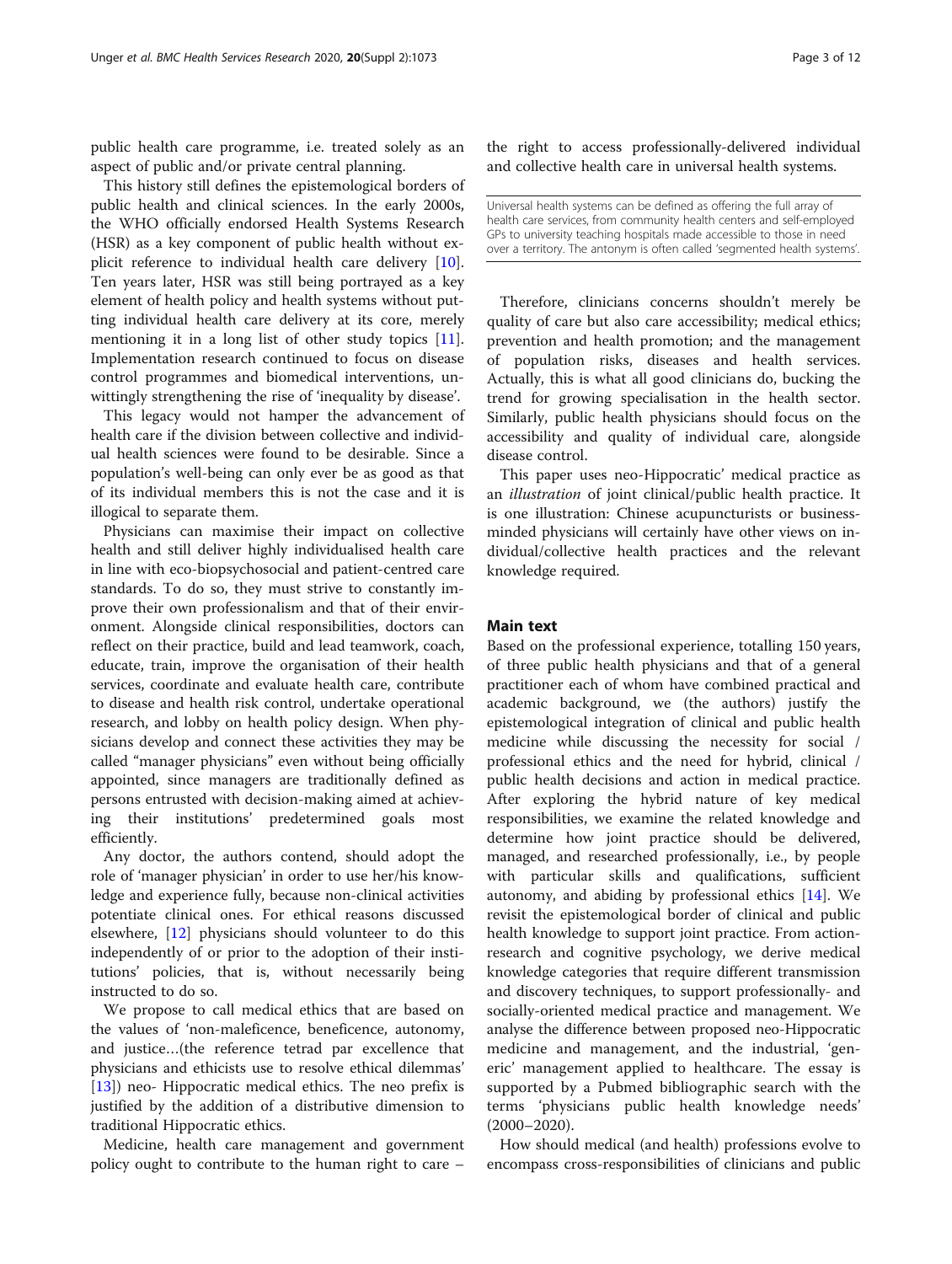public health care programme, i.e. treated solely as an aspect of public and/or private central planning.

This history still defines the epistemological borders of public health and clinical sciences. In the early 2000s, the WHO officially endorsed Health Systems Research (HSR) as a key component of public health without explicit reference to individual health care delivery [\[10](#page-10-0)]. Ten years later, HSR was still being portrayed as a key element of health policy and health systems without putting individual health care delivery at its core, merely mentioning it in a long list of other study topics [\[11](#page-10-0)]. Implementation research continued to focus on disease control programmes and biomedical interventions, unwittingly strengthening the rise of 'inequality by disease'.

This legacy would not hamper the advancement of health care if the division between collective and individual health sciences were found to be desirable. Since a population's well-being can only ever be as good as that of its individual members this is not the case and it is illogical to separate them.

Physicians can maximise their impact on collective health and still deliver highly individualised health care in line with eco-biopsychosocial and patient-centred care standards. To do so, they must strive to constantly improve their own professionalism and that of their environment. Alongside clinical responsibilities, doctors can reflect on their practice, build and lead teamwork, coach, educate, train, improve the organisation of their health services, coordinate and evaluate health care, contribute to disease and health risk control, undertake operational research, and lobby on health policy design. When physicians develop and connect these activities they may be called "manager physicians" even without being officially appointed, since managers are traditionally defined as persons entrusted with decision-making aimed at achieving their institutions' predetermined goals most efficiently.

Any doctor, the authors contend, should adopt the role of 'manager physician' in order to use her/his knowledge and experience fully, because non-clinical activities potentiate clinical ones. For ethical reasons discussed elsewhere, [[12\]](#page-10-0) physicians should volunteer to do this independently of or prior to the adoption of their institutions' policies, that is, without necessarily being instructed to do so.

We propose to call medical ethics that are based on the values of 'non-maleficence, beneficence, autonomy, and justice…(the reference tetrad par excellence that physicians and ethicists use to resolve ethical dilemmas' [[13\]](#page-10-0)) neo- Hippocratic medical ethics. The neo prefix is justified by the addition of a distributive dimension to traditional Hippocratic ethics.

Medicine, health care management and government policy ought to contribute to the human right to care –

the right to access professionally-delivered individual and collective health care in universal health systems.

Universal health systems can be defined as offering the full array of health care services, from community health centers and self-employed GPs to university teaching hospitals made accessible to those in need over a territory. The antonym is often called 'segmented health systems'.

Therefore, clinicians concerns shouldn't merely be quality of care but also care accessibility; medical ethics; prevention and health promotion; and the management of population risks, diseases and health services. Actually, this is what all good clinicians do, bucking the trend for growing specialisation in the health sector. Similarly, public health physicians should focus on the accessibility and quality of individual care, alongside disease control.

This paper uses neo-Hippocratic' medical practice as an *illustration* of joint clinical/public health practice. It is one illustration: Chinese acupuncturists or businessminded physicians will certainly have other views on individual/collective health practices and the relevant knowledge required.

# Main text

Based on the professional experience, totalling 150 years, of three public health physicians and that of a general practitioner each of whom have combined practical and academic background, we (the authors) justify the epistemological integration of clinical and public health medicine while discussing the necessity for social / professional ethics and the need for hybrid, clinical / public health decisions and action in medical practice. After exploring the hybrid nature of key medical responsibilities, we examine the related knowledge and determine how joint practice should be delivered, managed, and researched professionally, i.e., by people with particular skills and qualifications, sufficient autonomy, and abiding by professional ethics [[14\]](#page-10-0). We revisit the epistemological border of clinical and public health knowledge to support joint practice. From actionresearch and cognitive psychology, we derive medical knowledge categories that require different transmission and discovery techniques, to support professionally- and socially-oriented medical practice and management. We analyse the difference between proposed neo-Hippocratic medicine and management, and the industrial, 'generic' management applied to healthcare. The essay is supported by a Pubmed bibliographic search with the terms 'physicians public health knowledge needs' (2000–2020).

How should medical (and health) professions evolve to encompass cross-responsibilities of clinicians and public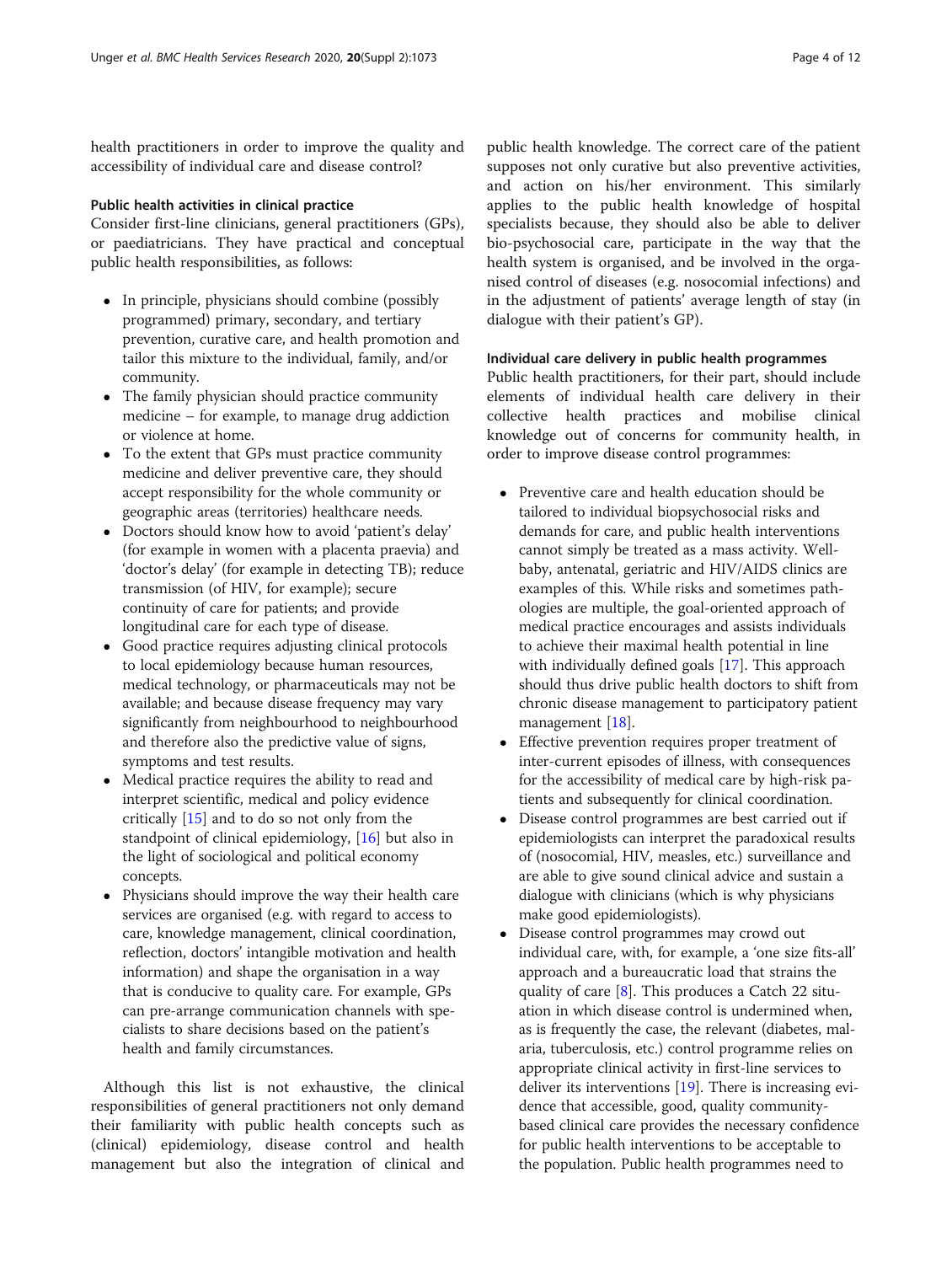health practitioners in order to improve the quality and accessibility of individual care and disease control?

# Public health activities in clinical practice

Consider first-line clinicians, general practitioners (GPs), or paediatricians. They have practical and conceptual public health responsibilities, as follows:

- In principle, physicians should combine (possibly programmed) primary, secondary, and tertiary prevention, curative care, and health promotion and tailor this mixture to the individual, family, and/or community.
- The family physician should practice community medicine – for example, to manage drug addiction or violence at home.
- To the extent that GPs must practice community medicine and deliver preventive care, they should accept responsibility for the whole community or geographic areas (territories) healthcare needs.
- Doctors should know how to avoid 'patient's delay' (for example in women with a placenta praevia) and 'doctor's delay' (for example in detecting TB); reduce transmission (of HIV, for example); secure continuity of care for patients; and provide longitudinal care for each type of disease.
- Good practice requires adjusting clinical protocols to local epidemiology because human resources, medical technology, or pharmaceuticals may not be available; and because disease frequency may vary significantly from neighbourhood to neighbourhood and therefore also the predictive value of signs, symptoms and test results.
- Medical practice requires the ability to read and interpret scientific, medical and policy evidence critically [[15\]](#page-10-0) and to do so not only from the standpoint of clinical epidemiology, [[16](#page-10-0)] but also in the light of sociological and political economy concepts.
- Physicians should improve the way their health care services are organised (e.g. with regard to access to care, knowledge management, clinical coordination, reflection, doctors' intangible motivation and health information) and shape the organisation in a way that is conducive to quality care. For example, GPs can pre-arrange communication channels with specialists to share decisions based on the patient's health and family circumstances.

Although this list is not exhaustive, the clinical responsibilities of general practitioners not only demand their familiarity with public health concepts such as (clinical) epidemiology, disease control and health management but also the integration of clinical and

public health knowledge. The correct care of the patient supposes not only curative but also preventive activities, and action on his/her environment. This similarly applies to the public health knowledge of hospital specialists because, they should also be able to deliver bio-psychosocial care, participate in the way that the health system is organised, and be involved in the organised control of diseases (e.g. nosocomial infections) and in the adjustment of patients' average length of stay (in dialogue with their patient's GP).

# Individual care delivery in public health programmes

Public health practitioners, for their part, should include elements of individual health care delivery in their collective health practices and mobilise clinical knowledge out of concerns for community health, in order to improve disease control programmes:

- Preventive care and health education should be tailored to individual biopsychosocial risks and demands for care, and public health interventions cannot simply be treated as a mass activity. Wellbaby, antenatal, geriatric and HIV/AIDS clinics are examples of this. While risks and sometimes pathologies are multiple, the goal-oriented approach of medical practice encourages and assists individuals to achieve their maximal health potential in line with individually defined goals [\[17\]](#page-10-0). This approach should thus drive public health doctors to shift from chronic disease management to participatory patient management [[18](#page-10-0)].
- Effective prevention requires proper treatment of inter-current episodes of illness, with consequences for the accessibility of medical care by high-risk patients and subsequently for clinical coordination.
- Disease control programmes are best carried out if epidemiologists can interpret the paradoxical results of (nosocomial, HIV, measles, etc.) surveillance and are able to give sound clinical advice and sustain a dialogue with clinicians (which is why physicians make good epidemiologists).
- Disease control programmes may crowd out individual care, with, for example, a 'one size fits-all' approach and a bureaucratic load that strains the quality of care [\[8](#page-10-0)]. This produces a Catch 22 situation in which disease control is undermined when, as is frequently the case, the relevant (diabetes, malaria, tuberculosis, etc.) control programme relies on appropriate clinical activity in first-line services to deliver its interventions [\[19](#page-10-0)]. There is increasing evidence that accessible, good, quality communitybased clinical care provides the necessary confidence for public health interventions to be acceptable to the population. Public health programmes need to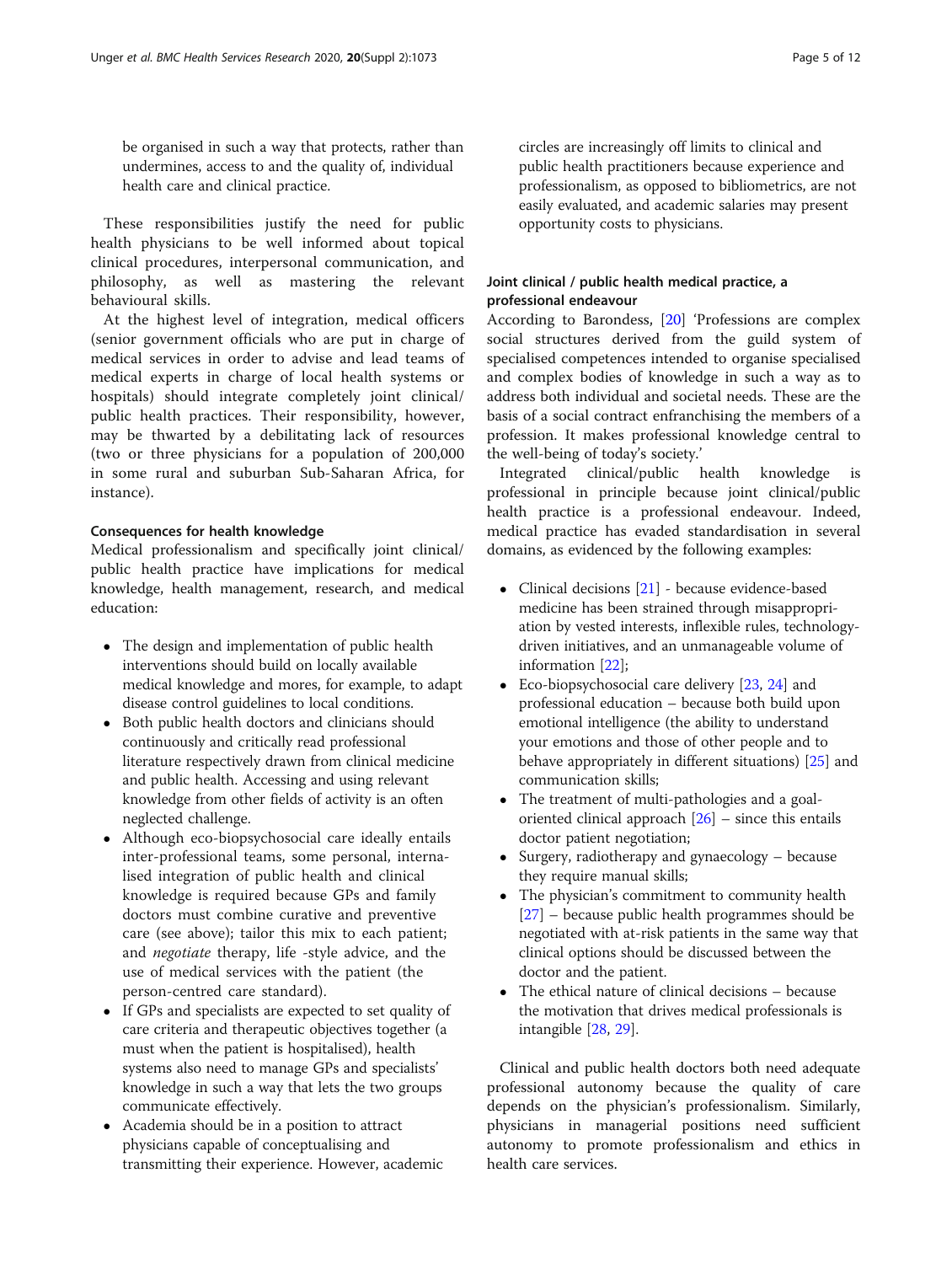be organised in such a way that protects, rather than undermines, access to and the quality of, individual health care and clinical practice.

These responsibilities justify the need for public health physicians to be well informed about topical clinical procedures, interpersonal communication, and philosophy, as well as mastering the relevant behavioural skills.

At the highest level of integration, medical officers (senior government officials who are put in charge of medical services in order to advise and lead teams of medical experts in charge of local health systems or hospitals) should integrate completely joint clinical/ public health practices. Their responsibility, however, may be thwarted by a debilitating lack of resources (two or three physicians for a population of 200,000 in some rural and suburban Sub-Saharan Africa, for instance).

# Consequences for health knowledge

Medical professionalism and specifically joint clinical/ public health practice have implications for medical knowledge, health management, research, and medical education:

- The design and implementation of public health interventions should build on locally available medical knowledge and mores, for example, to adapt disease control guidelines to local conditions.
- Both public health doctors and clinicians should continuously and critically read professional literature respectively drawn from clinical medicine and public health. Accessing and using relevant knowledge from other fields of activity is an often neglected challenge.
- Although eco-biopsychosocial care ideally entails inter-professional teams, some personal, internalised integration of public health and clinical knowledge is required because GPs and family doctors must combine curative and preventive care (see above); tailor this mix to each patient; and negotiate therapy, life -style advice, and the use of medical services with the patient (the person-centred care standard).
- If GPs and specialists are expected to set quality of care criteria and therapeutic objectives together (a must when the patient is hospitalised), health systems also need to manage GPs and specialists' knowledge in such a way that lets the two groups communicate effectively.
- Academia should be in a position to attract physicians capable of conceptualising and transmitting their experience. However, academic

circles are increasingly off limits to clinical and public health practitioners because experience and professionalism, as opposed to bibliometrics, are not easily evaluated, and academic salaries may present opportunity costs to physicians.

# Joint clinical / public health medical practice, a professional endeavour

According to Barondess, [\[20](#page-10-0)] 'Professions are complex social structures derived from the guild system of specialised competences intended to organise specialised and complex bodies of knowledge in such a way as to address both individual and societal needs. These are the basis of a social contract enfranchising the members of a profession. It makes professional knowledge central to the well-being of today's society.'

Integrated clinical/public health knowledge is professional in principle because joint clinical/public health practice is a professional endeavour. Indeed, medical practice has evaded standardisation in several domains, as evidenced by the following examples:

- Clinical decisions [[21](#page-10-0)] because evidence-based medicine has been strained through misappropriation by vested interests, inflexible rules, technologydriven initiatives, and an unmanageable volume of information [\[22](#page-10-0)];
- Eco-biopsychosocial care delivery [[23](#page-10-0), [24\]](#page-10-0) and professional education – because both build upon emotional intelligence (the ability to understand your emotions and those of other people and to behave appropriately in different situations) [[25](#page-10-0)] and communication skills;
- The treatment of multi-pathologies and a goaloriented clinical approach  $[26]$  $[26]$  $[26]$  – since this entails doctor patient negotiation;
- Surgery, radiotherapy and gynaecology because they require manual skills;
- The physician's commitment to community health [[27](#page-10-0)] – because public health programmes should be negotiated with at-risk patients in the same way that clinical options should be discussed between the doctor and the patient.
- The ethical nature of clinical decisions because the motivation that drives medical professionals is intangible [\[28,](#page-10-0) [29\]](#page-10-0).

Clinical and public health doctors both need adequate professional autonomy because the quality of care depends on the physician's professionalism. Similarly, physicians in managerial positions need sufficient autonomy to promote professionalism and ethics in health care services.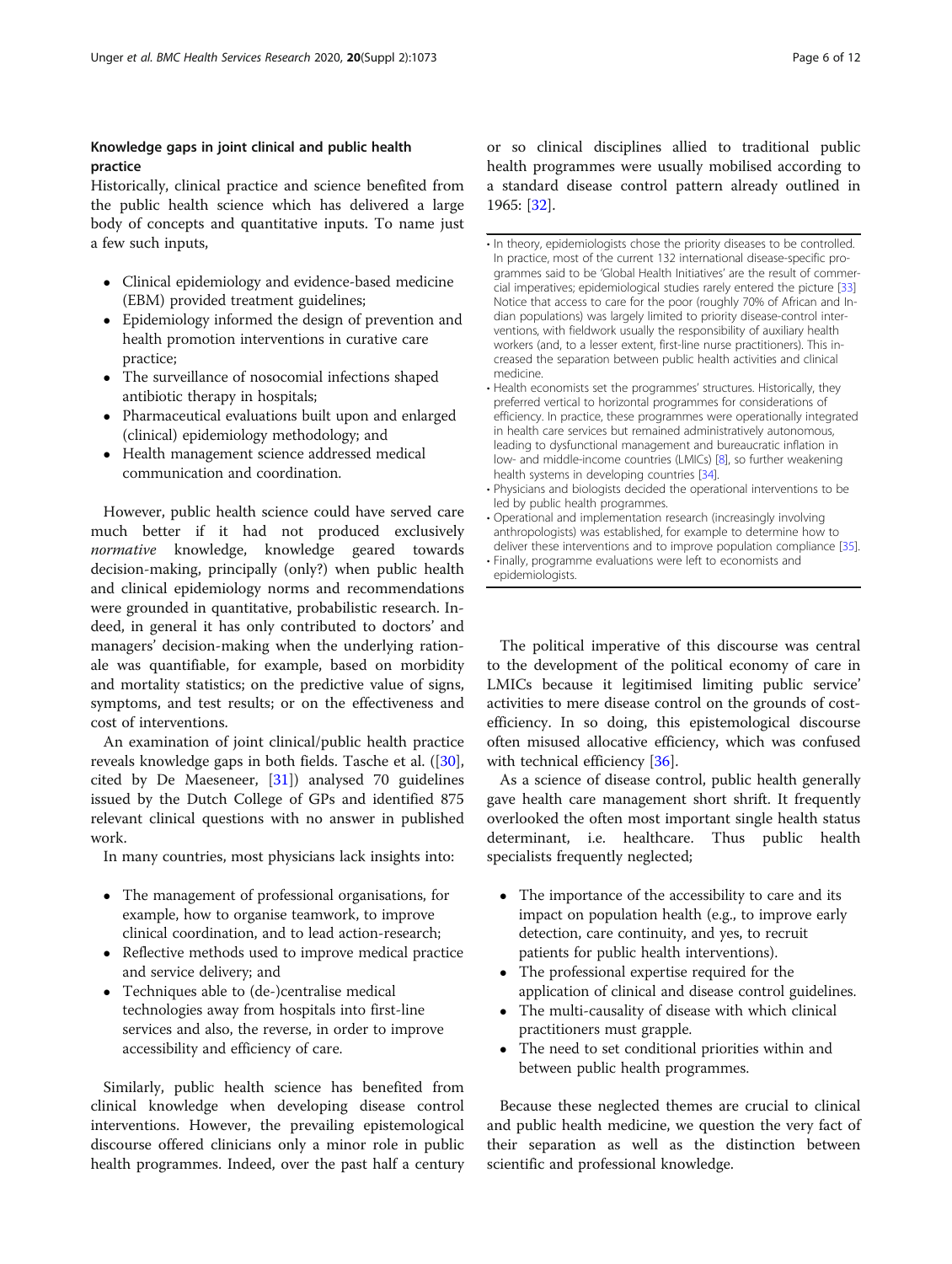# Knowledge gaps in joint clinical and public health practice

Historically, clinical practice and science benefited from the public health science which has delivered a large body of concepts and quantitative inputs. To name just a few such inputs,

- Clinical epidemiology and evidence-based medicine (EBM) provided treatment guidelines;
- Epidemiology informed the design of prevention and health promotion interventions in curative care practice;
- The surveillance of nosocomial infections shaped antibiotic therapy in hospitals;
- Pharmaceutical evaluations built upon and enlarged (clinical) epidemiology methodology; and
- Health management science addressed medical communication and coordination.

However, public health science could have served care much better if it had not produced exclusively normative knowledge, knowledge geared towards decision-making, principally (only?) when public health and clinical epidemiology norms and recommendations were grounded in quantitative, probabilistic research. Indeed, in general it has only contributed to doctors' and managers' decision-making when the underlying rationale was quantifiable, for example, based on morbidity and mortality statistics; on the predictive value of signs, symptoms, and test results; or on the effectiveness and cost of interventions.

An examination of joint clinical/public health practice reveals knowledge gaps in both fields. Tasche et al. ([\[30](#page-10-0)], cited by De Maeseneer,  $[31]$  $[31]$  analysed 70 guidelines issued by the Dutch College of GPs and identified 875 relevant clinical questions with no answer in published work.

In many countries, most physicians lack insights into:

- The management of professional organisations, for example, how to organise teamwork, to improve clinical coordination, and to lead action-research;
- Reflective methods used to improve medical practice and service delivery; and
- Techniques able to (de-)centralise medical technologies away from hospitals into first-line services and also, the reverse, in order to improve accessibility and efficiency of care.

Similarly, public health science has benefited from clinical knowledge when developing disease control interventions. However, the prevailing epistemological discourse offered clinicians only a minor role in public health programmes. Indeed, over the past half a century

or so clinical disciplines allied to traditional public health programmes were usually mobilised according to a standard disease control pattern already outlined in 1965: [[32](#page-10-0)].

- In theory, epidemiologists chose the priority diseases to be controlled. In practice, most of the current 132 international disease-specific programmes said to be 'Global Health Initiatives' are the result of commercial imperatives; epidemiological studies rarely entered the picture [\[33\]](#page-10-0) Notice that access to care for the poor (roughly 70% of African and Indian populations) was largely limited to priority disease-control interventions, with fieldwork usually the responsibility of auxiliary health workers (and, to a lesser extent, first-line nurse practitioners). This increased the separation between public health activities and clinical medicine.
- Health economists set the programmes' structures. Historically, they preferred vertical to horizontal programmes for considerations of efficiency. In practice, these programmes were operationally integrated in health care services but remained administratively autonomous, leading to dysfunctional management and bureaucratic inflation in low- and middle-income countries (LMICs) [[8\]](#page-10-0), so further weakening health systems in developing countries [\[34\]](#page-10-0).
- Physicians and biologists decided the operational interventions to be led by public health programmes.
- Operational and implementation research (increasingly involving anthropologists) was established, for example to determine how to deliver these interventions and to improve population compliance [\[35\]](#page-10-0).
- Finally, programme evaluations were left to economists and epidemiologists.

The political imperative of this discourse was central to the development of the political economy of care in LMICs because it legitimised limiting public service' activities to mere disease control on the grounds of costefficiency. In so doing, this epistemological discourse often misused allocative efficiency, which was confused with technical efficiency [\[36](#page-10-0)].

As a science of disease control, public health generally gave health care management short shrift. It frequently overlooked the often most important single health status determinant, i.e. healthcare. Thus public health specialists frequently neglected;

- The importance of the accessibility to care and its impact on population health (e.g., to improve early detection, care continuity, and yes, to recruit patients for public health interventions).
- The professional expertise required for the application of clinical and disease control guidelines.
- The multi-causality of disease with which clinical practitioners must grapple.
- The need to set conditional priorities within and between public health programmes.

Because these neglected themes are crucial to clinical and public health medicine, we question the very fact of their separation as well as the distinction between scientific and professional knowledge.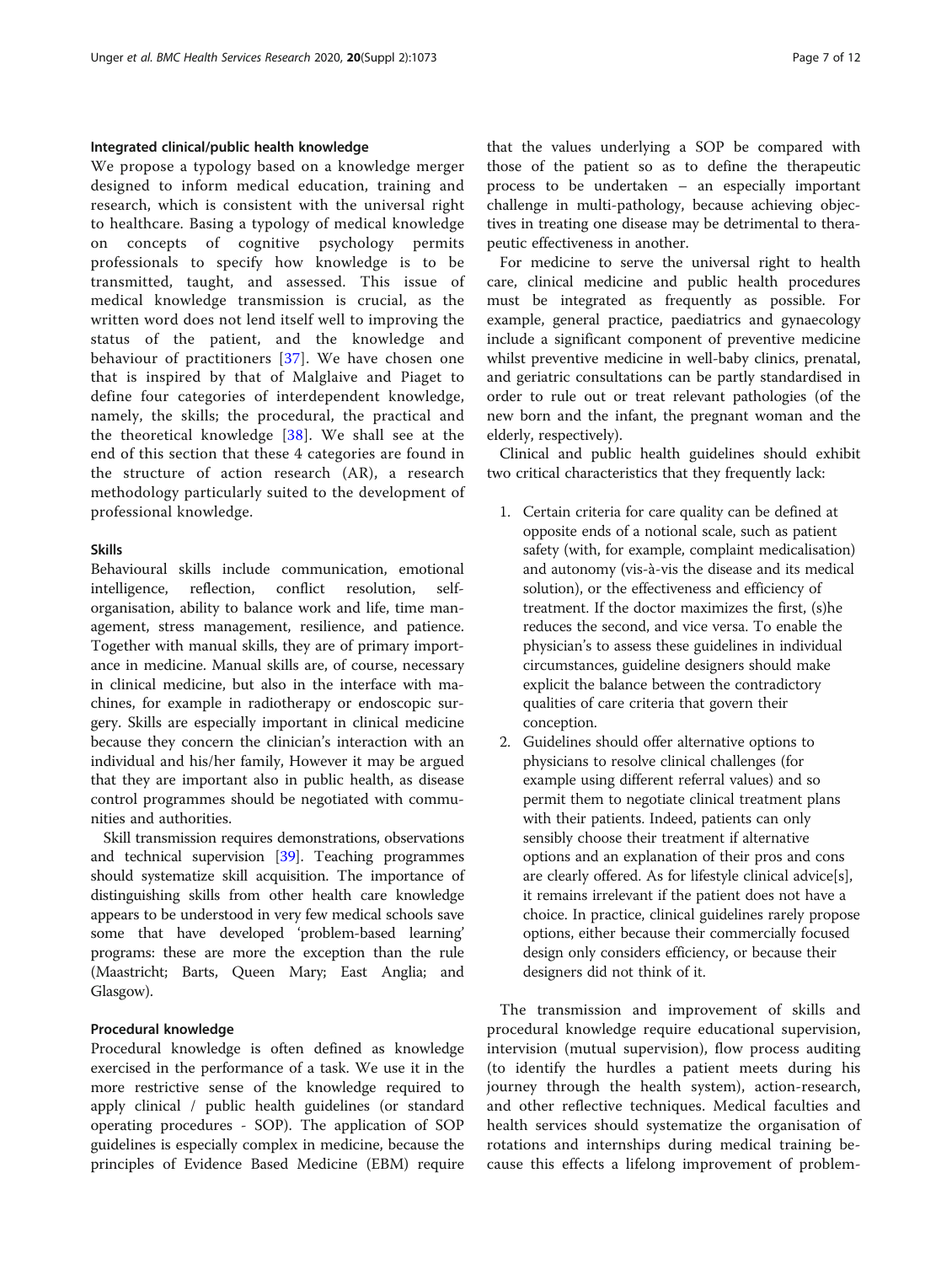# Integrated clinical/public health knowledge

We propose a typology based on a knowledge merger designed to inform medical education, training and research, which is consistent with the universal right to healthcare. Basing a typology of medical knowledge on concepts of cognitive psychology permits professionals to specify how knowledge is to be transmitted, taught, and assessed. This issue of medical knowledge transmission is crucial, as the written word does not lend itself well to improving the status of the patient, and the knowledge and behaviour of practitioners [[37](#page-10-0)]. We have chosen one that is inspired by that of Malglaive and Piaget to define four categories of interdependent knowledge, namely, the skills; the procedural, the practical and the theoretical knowledge [[38\]](#page-10-0). We shall see at the end of this section that these 4 categories are found in the structure of action research (AR), a research methodology particularly suited to the development of professional knowledge.

### Skills

Behavioural skills include communication, emotional intelligence, reflection, conflict resolution, selforganisation, ability to balance work and life, time management, stress management, resilience, and patience. Together with manual skills, they are of primary importance in medicine. Manual skills are, of course, necessary in clinical medicine, but also in the interface with machines, for example in radiotherapy or endoscopic surgery. Skills are especially important in clinical medicine because they concern the clinician's interaction with an individual and his/her family, However it may be argued that they are important also in public health, as disease control programmes should be negotiated with communities and authorities.

Skill transmission requires demonstrations, observations and technical supervision [\[39\]](#page-10-0). Teaching programmes should systematize skill acquisition. The importance of distinguishing skills from other health care knowledge appears to be understood in very few medical schools save some that have developed 'problem-based learning' programs: these are more the exception than the rule (Maastricht; Barts, Queen Mary; East Anglia; and Glasgow).

# Procedural knowledge

Procedural knowledge is often defined as knowledge exercised in the performance of a task. We use it in the more restrictive sense of the knowledge required to apply clinical / public health guidelines (or standard operating procedures - SOP). The application of SOP guidelines is especially complex in medicine, because the principles of Evidence Based Medicine (EBM) require that the values underlying a SOP be compared with those of the patient so as to define the therapeutic process to be undertaken – an especially important challenge in multi-pathology, because achieving objectives in treating one disease may be detrimental to therapeutic effectiveness in another.

For medicine to serve the universal right to health care, clinical medicine and public health procedures must be integrated as frequently as possible. For example, general practice, paediatrics and gynaecology include a significant component of preventive medicine whilst preventive medicine in well-baby clinics, prenatal, and geriatric consultations can be partly standardised in order to rule out or treat relevant pathologies (of the new born and the infant, the pregnant woman and the elderly, respectively).

Clinical and public health guidelines should exhibit two critical characteristics that they frequently lack:

- 1. Certain criteria for care quality can be defined at opposite ends of a notional scale, such as patient safety (with, for example, complaint medicalisation) and autonomy (vis-à-vis the disease and its medical solution), or the effectiveness and efficiency of treatment. If the doctor maximizes the first, (s)he reduces the second, and vice versa. To enable the physician's to assess these guidelines in individual circumstances, guideline designers should make explicit the balance between the contradictory qualities of care criteria that govern their conception.
- 2. Guidelines should offer alternative options to physicians to resolve clinical challenges (for example using different referral values) and so permit them to negotiate clinical treatment plans with their patients. Indeed, patients can only sensibly choose their treatment if alternative options and an explanation of their pros and cons are clearly offered. As for lifestyle clinical advice[s], it remains irrelevant if the patient does not have a choice. In practice, clinical guidelines rarely propose options, either because their commercially focused design only considers efficiency, or because their designers did not think of it.

The transmission and improvement of skills and procedural knowledge require educational supervision, intervision (mutual supervision), flow process auditing (to identify the hurdles a patient meets during his journey through the health system), action-research, and other reflective techniques. Medical faculties and health services should systematize the organisation of rotations and internships during medical training because this effects a lifelong improvement of problem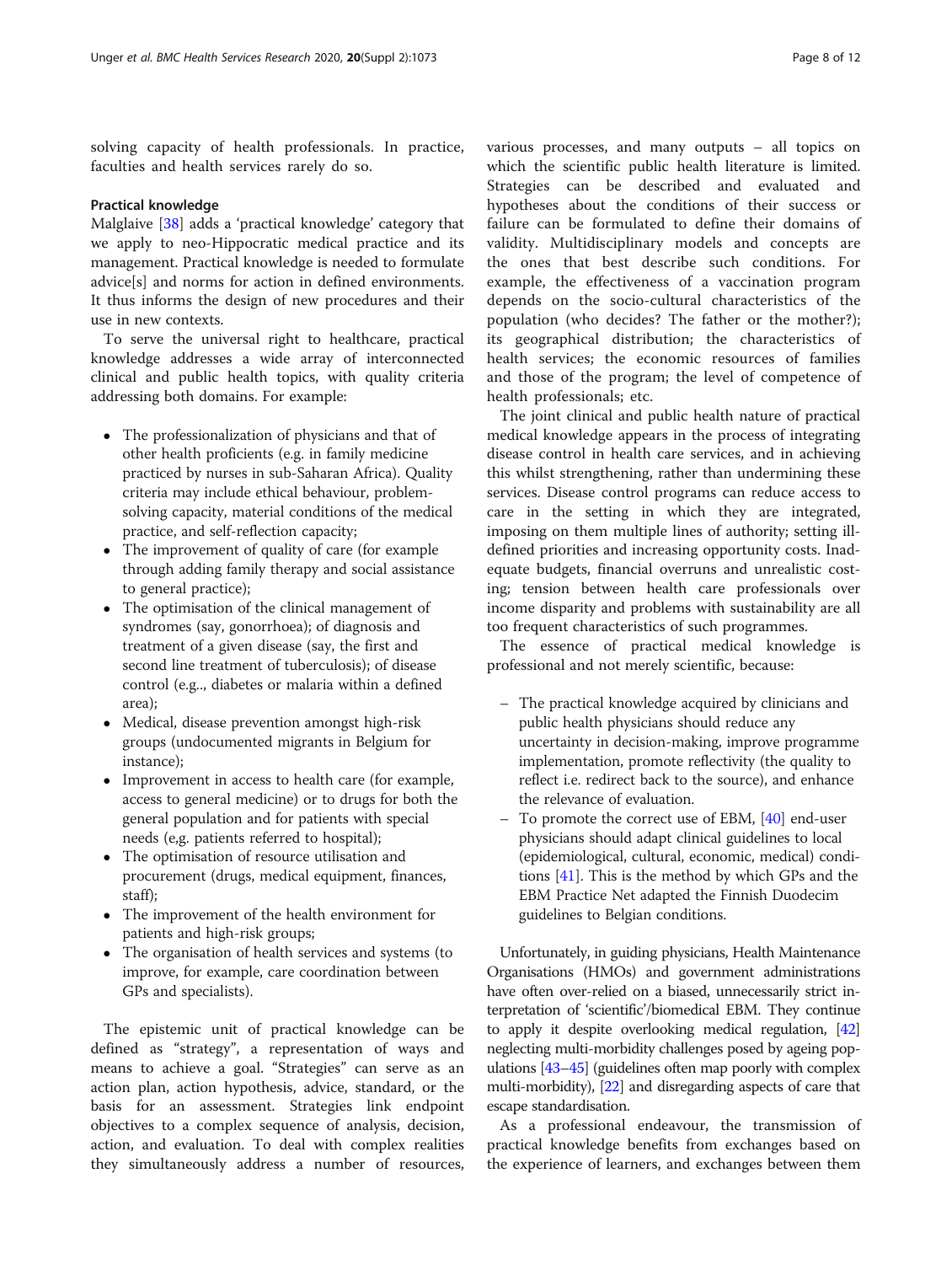solving capacity of health professionals. In practice, faculties and health services rarely do so.

#### Practical knowledge

Malglaive [\[38](#page-10-0)] adds a 'practical knowledge' category that we apply to neo-Hippocratic medical practice and its management. Practical knowledge is needed to formulate advice[s] and norms for action in defined environments. It thus informs the design of new procedures and their use in new contexts.

To serve the universal right to healthcare, practical knowledge addresses a wide array of interconnected clinical and public health topics, with quality criteria addressing both domains. For example:

- The professionalization of physicians and that of other health proficients (e.g. in family medicine practiced by nurses in sub-Saharan Africa). Quality criteria may include ethical behaviour, problemsolving capacity, material conditions of the medical practice, and self-reflection capacity;
- The improvement of quality of care (for example through adding family therapy and social assistance to general practice);
- The optimisation of the clinical management of syndromes (say, gonorrhoea); of diagnosis and treatment of a given disease (say, the first and second line treatment of tuberculosis); of disease control (e.g.., diabetes or malaria within a defined area);
- Medical, disease prevention amongst high-risk groups (undocumented migrants in Belgium for instance);
- Improvement in access to health care (for example, access to general medicine) or to drugs for both the general population and for patients with special needs (e,g. patients referred to hospital);
- The optimisation of resource utilisation and procurement (drugs, medical equipment, finances, staff);
- The improvement of the health environment for patients and high-risk groups;
- The organisation of health services and systems (to improve, for example, care coordination between GPs and specialists).

The epistemic unit of practical knowledge can be defined as "strategy", a representation of ways and means to achieve a goal. "Strategies" can serve as an action plan, action hypothesis, advice, standard, or the basis for an assessment. Strategies link endpoint objectives to a complex sequence of analysis, decision, action, and evaluation. To deal with complex realities they simultaneously address a number of resources, various processes, and many outputs – all topics on which the scientific public health literature is limited. Strategies can be described and evaluated and hypotheses about the conditions of their success or failure can be formulated to define their domains of validity. Multidisciplinary models and concepts are the ones that best describe such conditions. For example, the effectiveness of a vaccination program depends on the socio-cultural characteristics of the population (who decides? The father or the mother?); its geographical distribution; the characteristics of health services; the economic resources of families and those of the program; the level of competence of health professionals; etc.

The joint clinical and public health nature of practical medical knowledge appears in the process of integrating disease control in health care services, and in achieving this whilst strengthening, rather than undermining these services. Disease control programs can reduce access to care in the setting in which they are integrated, imposing on them multiple lines of authority; setting illdefined priorities and increasing opportunity costs. Inadequate budgets, financial overruns and unrealistic costing; tension between health care professionals over income disparity and problems with sustainability are all too frequent characteristics of such programmes.

The essence of practical medical knowledge is professional and not merely scientific, because:

- The practical knowledge acquired by clinicians and public health physicians should reduce any uncertainty in decision-making, improve programme implementation, promote reflectivity (the quality to reflect i.e. redirect back to the source), and enhance the relevance of evaluation.
- To promote the correct use of EBM, [[40\]](#page-11-0) end-user physicians should adapt clinical guidelines to local (epidemiological, cultural, economic, medical) conditions [\[41](#page-11-0)]. This is the method by which GPs and the EBM Practice Net adapted the Finnish Duodecim guidelines to Belgian conditions.

Unfortunately, in guiding physicians, Health Maintenance Organisations (HMOs) and government administrations have often over-relied on a biased, unnecessarily strict interpretation of 'scientific'/biomedical EBM. They continue to apply it despite overlooking medical regulation, [\[42](#page-11-0)] neglecting multi-morbidity challenges posed by ageing populations [\[43](#page-11-0)–[45\]](#page-11-0) (guidelines often map poorly with complex multi-morbidity), [\[22\]](#page-10-0) and disregarding aspects of care that escape standardisation.

As a professional endeavour, the transmission of practical knowledge benefits from exchanges based on the experience of learners, and exchanges between them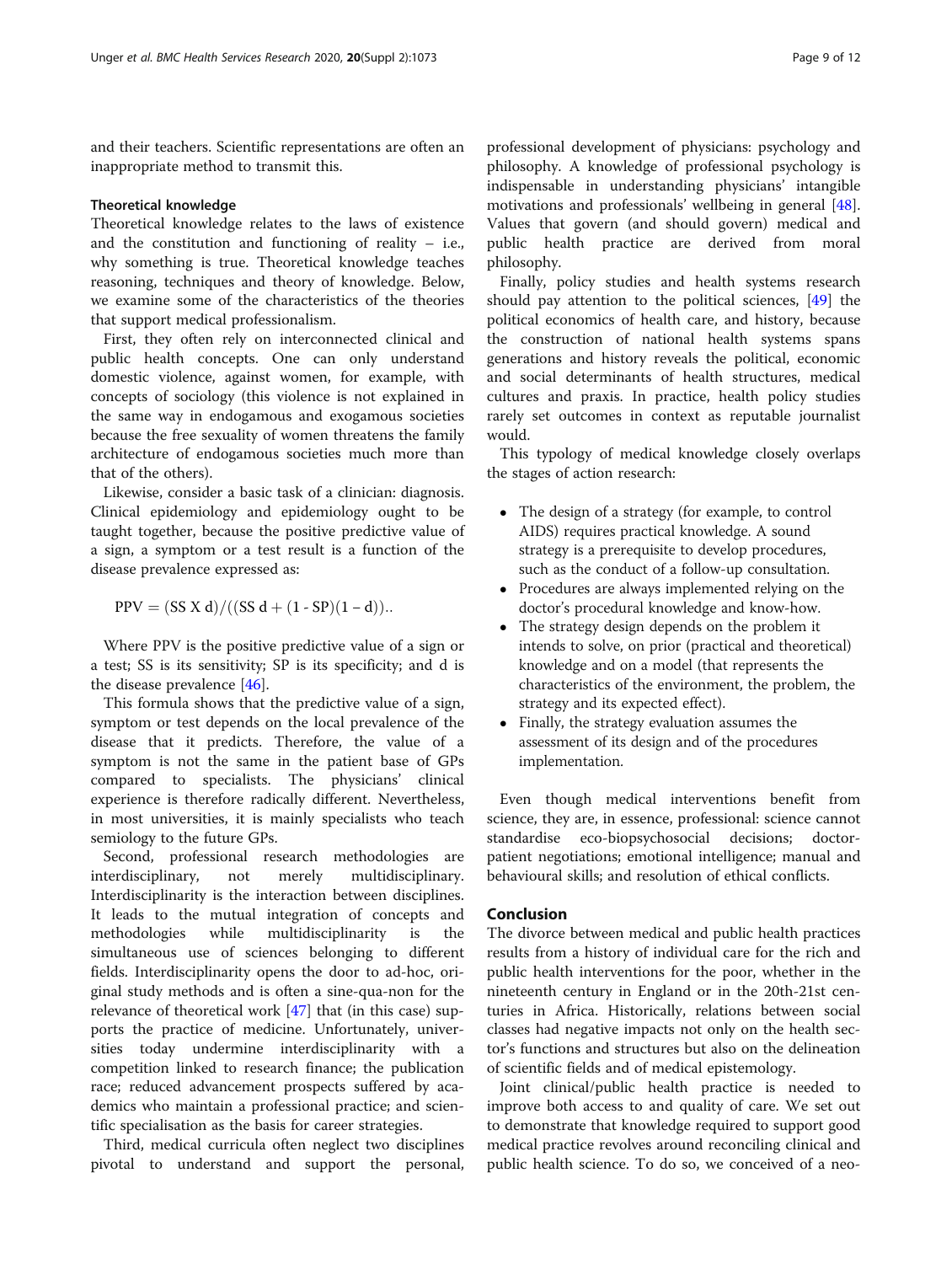and their teachers. Scientific representations are often an inappropriate method to transmit this.

#### Theoretical knowledge

Theoretical knowledge relates to the laws of existence and the constitution and functioning of reality – i.e., why something is true. Theoretical knowledge teaches reasoning, techniques and theory of knowledge. Below, we examine some of the characteristics of the theories that support medical professionalism.

First, they often rely on interconnected clinical and public health concepts. One can only understand domestic violence, against women, for example, with concepts of sociology (this violence is not explained in the same way in endogamous and exogamous societies because the free sexuality of women threatens the family architecture of endogamous societies much more than that of the others).

Likewise, consider a basic task of a clinician: diagnosis. Clinical epidemiology and epidemiology ought to be taught together, because the positive predictive value of a sign, a symptom or a test result is a function of the disease prevalence expressed as:

$$
PPV = (SS\ X\ d) / ((SS\ d + (1\cdot SP)(1-d))..
$$

Where PPV is the positive predictive value of a sign or a test; SS is its sensitivity; SP is its specificity; and d is the disease prevalence [\[46](#page-11-0)].

This formula shows that the predictive value of a sign, symptom or test depends on the local prevalence of the disease that it predicts. Therefore, the value of a symptom is not the same in the patient base of GPs compared to specialists. The physicians' clinical experience is therefore radically different. Nevertheless, in most universities, it is mainly specialists who teach semiology to the future GPs.

Second, professional research methodologies are interdisciplinary, not merely multidisciplinary. Interdisciplinarity is the interaction between disciplines. It leads to the mutual integration of concepts and methodologies while multidisciplinarity is the simultaneous use of sciences belonging to different fields. Interdisciplinarity opens the door to ad-hoc, original study methods and is often a sine-qua-non for the relevance of theoretical work [\[47\]](#page-11-0) that (in this case) supports the practice of medicine. Unfortunately, universities today undermine interdisciplinarity with a competition linked to research finance; the publication race; reduced advancement prospects suffered by academics who maintain a professional practice; and scientific specialisation as the basis for career strategies.

Third, medical curricula often neglect two disciplines pivotal to understand and support the personal,

professional development of physicians: psychology and philosophy. A knowledge of professional psychology is indispensable in understanding physicians' intangible motivations and professionals' wellbeing in general [\[48](#page-11-0)]. Values that govern (and should govern) medical and public health practice are derived from moral philosophy.

Finally, policy studies and health systems research should pay attention to the political sciences, [\[49\]](#page-11-0) the political economics of health care, and history, because the construction of national health systems spans generations and history reveals the political, economic and social determinants of health structures, medical cultures and praxis. In practice, health policy studies rarely set outcomes in context as reputable journalist would.

This typology of medical knowledge closely overlaps the stages of action research:

- The design of a strategy (for example, to control AIDS) requires practical knowledge. A sound strategy is a prerequisite to develop procedures, such as the conduct of a follow-up consultation.
- Procedures are always implemented relying on the doctor's procedural knowledge and know-how.
- The strategy design depends on the problem it intends to solve, on prior (practical and theoretical) knowledge and on a model (that represents the characteristics of the environment, the problem, the strategy and its expected effect).
- Finally, the strategy evaluation assumes the assessment of its design and of the procedures implementation.

Even though medical interventions benefit from science, they are, in essence, professional: science cannot standardise eco-biopsychosocial decisions; doctorpatient negotiations; emotional intelligence; manual and behavioural skills; and resolution of ethical conflicts.

# Conclusion

The divorce between medical and public health practices results from a history of individual care for the rich and public health interventions for the poor, whether in the nineteenth century in England or in the 20th-21st centuries in Africa. Historically, relations between social classes had negative impacts not only on the health sector's functions and structures but also on the delineation of scientific fields and of medical epistemology.

Joint clinical/public health practice is needed to improve both access to and quality of care. We set out to demonstrate that knowledge required to support good medical practice revolves around reconciling clinical and public health science. To do so, we conceived of a neo-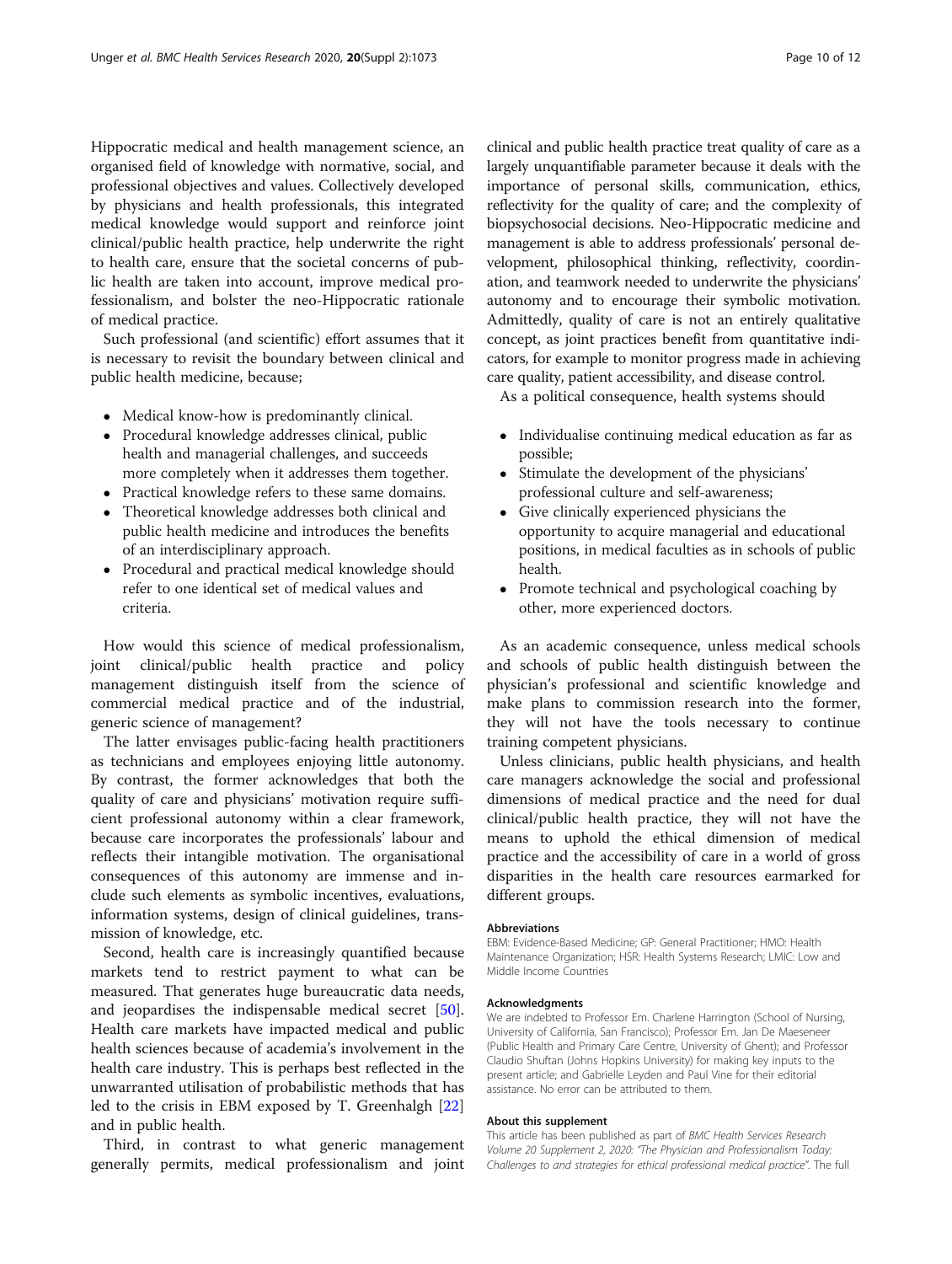Hippocratic medical and health management science, an organised field of knowledge with normative, social, and professional objectives and values. Collectively developed by physicians and health professionals, this integrated medical knowledge would support and reinforce joint clinical/public health practice, help underwrite the right to health care, ensure that the societal concerns of public health are taken into account, improve medical professionalism, and bolster the neo-Hippocratic rationale of medical practice.

Such professional (and scientific) effort assumes that it is necessary to revisit the boundary between clinical and public health medicine, because;

- Medical know-how is predominantly clinical.
- Procedural knowledge addresses clinical, public health and managerial challenges, and succeeds more completely when it addresses them together.
- Practical knowledge refers to these same domains.
- Theoretical knowledge addresses both clinical and public health medicine and introduces the benefits of an interdisciplinary approach.
- Procedural and practical medical knowledge should refer to one identical set of medical values and criteria.

How would this science of medical professionalism, joint clinical/public health practice and policy management distinguish itself from the science of commercial medical practice and of the industrial, generic science of management?

The latter envisages public-facing health practitioners as technicians and employees enjoying little autonomy. By contrast, the former acknowledges that both the quality of care and physicians' motivation require sufficient professional autonomy within a clear framework, because care incorporates the professionals' labour and reflects their intangible motivation. The organisational consequences of this autonomy are immense and include such elements as symbolic incentives, evaluations, information systems, design of clinical guidelines, transmission of knowledge, etc.

Second, health care is increasingly quantified because markets tend to restrict payment to what can be measured. That generates huge bureaucratic data needs, and jeopardises the indispensable medical secret [\[50](#page-11-0)]. Health care markets have impacted medical and public health sciences because of academia's involvement in the health care industry. This is perhaps best reflected in the unwarranted utilisation of probabilistic methods that has led to the crisis in EBM exposed by T. Greenhalgh [[22](#page-10-0)] and in public health.

Third, in contrast to what generic management generally permits, medical professionalism and joint

clinical and public health practice treat quality of care as a largely unquantifiable parameter because it deals with the importance of personal skills, communication, ethics, reflectivity for the quality of care; and the complexity of biopsychosocial decisions. Neo-Hippocratic medicine and management is able to address professionals' personal development, philosophical thinking, reflectivity, coordination, and teamwork needed to underwrite the physicians' autonomy and to encourage their symbolic motivation. Admittedly, quality of care is not an entirely qualitative concept, as joint practices benefit from quantitative indicators, for example to monitor progress made in achieving care quality, patient accessibility, and disease control.

As a political consequence, health systems should

- Individualise continuing medical education as far as possible;
- Stimulate the development of the physicians' professional culture and self-awareness;
- Give clinically experienced physicians the opportunity to acquire managerial and educational positions, in medical faculties as in schools of public health.
- Promote technical and psychological coaching by other, more experienced doctors.

As an academic consequence, unless medical schools and schools of public health distinguish between the physician's professional and scientific knowledge and make plans to commission research into the former, they will not have the tools necessary to continue training competent physicians.

Unless clinicians, public health physicians, and health care managers acknowledge the social and professional dimensions of medical practice and the need for dual clinical/public health practice, they will not have the means to uphold the ethical dimension of medical practice and the accessibility of care in a world of gross disparities in the health care resources earmarked for different groups.

#### Abbreviations

EBM: Evidence-Based Medicine; GP: General Practitioner; HMO: Health Maintenance Organization; HSR: Health Systems Research; LMIC: Low and Middle Income Countries

#### Acknowledgments

We are indebted to Professor Em. Charlene Harrington (School of Nursing, University of California, San Francisco); Professor Em. Jan De Maeseneer (Public Health and Primary Care Centre, University of Ghent); and Professor Claudio Shuftan (Johns Hopkins University) for making key inputs to the present article; and Gabrielle Leyden and Paul Vine for their editorial assistance. No error can be attributed to them.

#### About this supplement

This article has been published as part of BMC Health Services Research Volume 20 Supplement 2, 2020: "The Physician and Professionalism Today: Challenges to and strategies for ethical professional medical practice". The full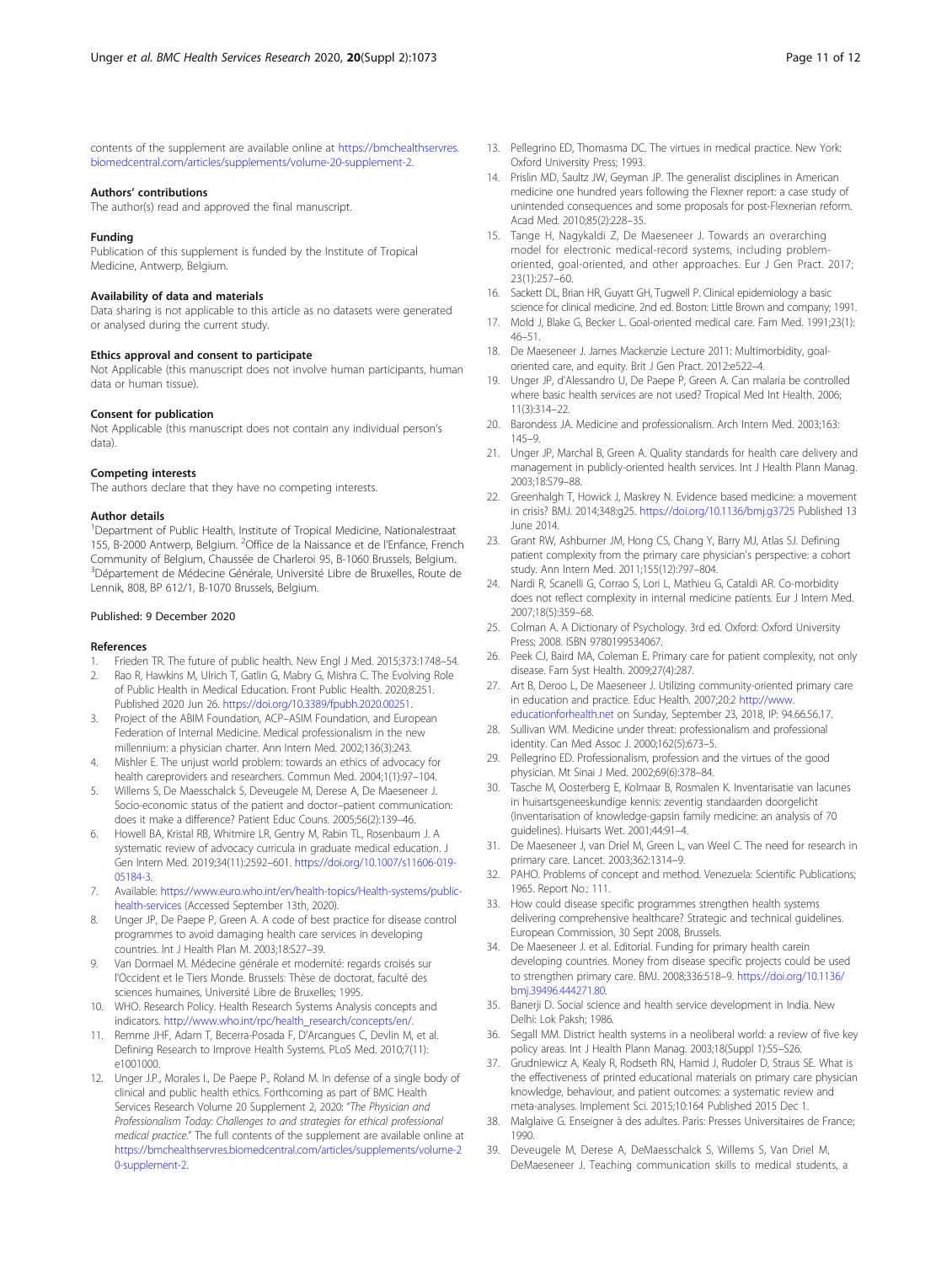<span id="page-10-0"></span>contents of the supplement are available online at [https://bmchealthservres.](https://bmchealthservres.biomedcentral.com/articles/supplements/volume-20-supplement-2) [biomedcentral.com/articles/supplements/volume-20-supplement-2.](https://bmchealthservres.biomedcentral.com/articles/supplements/volume-20-supplement-2)

#### Authors' contributions

The author(s) read and approved the final manuscript.

#### Funding

Publication of this supplement is funded by the Institute of Tropical Medicine, Antwerp, Belgium.

#### Availability of data and materials

Data sharing is not applicable to this article as no datasets were generated or analysed during the current study.

#### Ethics approval and consent to participate

Not Applicable (this manuscript does not involve human participants, human data or human tissue).

#### Consent for publication

Not Applicable (this manuscript does not contain any individual person's data).

#### Competing interests

The authors declare that they have no competing interests.

#### Author details

<sup>1</sup>Department of Public Health, Institute of Tropical Medicine, Nationalestraat 155, B-2000 Antwerp, Belgium. <sup>2</sup>Office de la Naissance et de l'Enfance, French Community of Belgium, Chaussée de Charleroi 95, B-1060 Brussels, Belgium. <sup>3</sup>Département de Médecine Générale, Université Libre de Bruxelles, Route de Lennik, 808, BP 612/1, B-1070 Brussels, Belgium.

#### Published: 9 December 2020

#### References

- 1. Frieden TR. The future of public health. New Engl J Med. 2015;373:1748–54.<br>2 Rao R. Hawkins M. Ulrich T. Gatlin G. Mabry G. Mishra C. The Evolving Role
- 2. Rao R, Hawkins M, Ulrich T, Gatlin G, Mabry G, Mishra C. The Evolving Role of Public Health in Medical Education. Front Public Health. 2020;8:251. Published 2020 Jun 26. [https://doi.org/10.3389/fpubh.2020.00251.](https://doi.org/10.3389/fpubh.2020.00251)
- 3. Project of the ABIM Foundation, ACP–ASIM Foundation, and European Federation of Internal Medicine. Medical professionalism in the new millennium: a physician charter. Ann Intern Med. 2002;136(3):243.
- 4. Mishler E. The unjust world problem: towards an ethics of advocacy for health careproviders and researchers. Commun Med. 2004;1(1):97–104.
- 5. Willems S, De Maesschalck S, Deveugele M, Derese A, De Maeseneer J. Socio-economic status of the patient and doctor–patient communication: does it make a difference? Patient Educ Couns. 2005;56(2):139–46.
- 6. Howell BA, Kristal RB, Whitmire LR, Gentry M, Rabin TL, Rosenbaum J. A systematic review of advocacy curricula in graduate medical education. J Gen Intern Med. 2019;34(11):2592–601. [https://doi.org/10.1007/s11606-019-](https://doi.org/10.1007/s11606-019-05184-3) [05184-3](https://doi.org/10.1007/s11606-019-05184-3).
- 7. Available: [https://www.euro.who.int/en/health-topics/Health-systems/public](https://www.euro.who.int/en/health-topics/Health-systems/public-health-services)[health-services](https://www.euro.who.int/en/health-topics/Health-systems/public-health-services) (Accessed September 13th, 2020).
- 8. Unger JP, De Paepe P, Green A. A code of best practice for disease control programmes to avoid damaging health care services in developing countries. Int J Health Plan M. 2003;18:S27–39.
- 9. Van Dormael M. Médecine générale et modernité: regards croisés sur l'Occident et le Tiers Monde. Brussels: Thèse de doctorat, faculté des sciences humaines, Université Libre de Bruxelles; 1995.
- 10. WHO. Research Policy. Health Research Systems Analysis concepts and indicators. [http://www.who.int/rpc/health\\_research/concepts/en/.](http://www.who.int/rpc/health_research/concepts/en/)
- 11. Remme JHF, Adam T, Becerra-Posada F, D'Arcangues C, Devlin M, et al. Defining Research to Improve Health Systems. PLoS Med. 2010;7(11): e1001000.
- 12. Unger J.P., Morales I., De Paepe P., Roland M. In defense of a single body of clinical and public health ethics. Forthcoming as part of BMC Health Services Research Volume 20 Supplement 2, 2020: "The Physician and Professionalism Today: Challenges to and strategies for ethical professional medical practice." The full contents of the supplement are available online at [https://bmchealthservres.biomedcentral.com/articles/supplements/volume-2](https://bmchealthservres.biomedcentral.com/articles/supplements/volume-20-supplement-2) [0-supplement-2.](https://bmchealthservres.biomedcentral.com/articles/supplements/volume-20-supplement-2)
- 13. Pellegrino ED, Thomasma DC. The virtues in medical practice. New York: Oxford University Press; 1993.
- 14. Prislin MD, Saultz JW, Geyman JP. The generalist disciplines in American medicine one hundred years following the Flexner report: a case study of unintended consequences and some proposals for post-Flexnerian reform. Acad Med. 2010;85(2):228–35.
- 15. Tange H, Nagykaldi Z, De Maeseneer J. Towards an overarching model for electronic medical-record systems, including problemoriented, goal-oriented, and other approaches. Eur J Gen Pract. 2017; 23(1):257–60.
- 16. Sackett DL, Brian HR, Guyatt GH, Tugwell P. Clinical epidemiology a basic science for clinical medicine. 2nd ed. Boston: Little Brown and company; 1991.
- 17. Mold J, Blake G, Becker L. Goal-oriented medical care. Fam Med. 1991;23(1): 46–51.
- 18. De Maeseneer J. James Mackenzie Lecture 2011: Multimorbidity, goaloriented care, and equity. Brit J Gen Pract. 2012:e522–4.
- 19. Unger JP, d'Alessandro U, De Paepe P, Green A. Can malaria be controlled where basic health services are not used? Tropical Med Int Health. 2006; 11(3):314–22.
- 20. Barondess JA. Medicine and professionalism. Arch Intern Med. 2003;163: 145–9.
- 21. Unger JP, Marchal B, Green A. Quality standards for health care delivery and management in publicly-oriented health services. Int J Health Plann Manag. 2003;18:S79–88.
- 22. Greenhalgh T, Howick J, Maskrey N. Evidence based medicine: a movement in crisis? BMJ. 2014;348:g25. <https://doi.org/10.1136/bmj.g3725> Published 13 June 2014.
- 23. Grant RW, Ashburner JM, Hong CS, Chang Y, Barry MJ, Atlas SJ. Defining patient complexity from the primary care physician's perspective: a cohort study. Ann Intern Med. 2011;155(12):797–804.
- 24. Nardi R, Scanelli G, Corrao S, Lori L, Mathieu G, Cataldi AR. Co-morbidity does not reflect complexity in internal medicine patients. Eur J Intern Med. 2007;18(5):359–68.
- 25. Colman A. A Dictionary of Psychology. 3rd ed. Oxford: Oxford University Press; 2008. ISBN 9780199534067.
- 26. Peek CJ, Baird MA, Coleman E. Primary care for patient complexity, not only disease. Fam Syst Health. 2009;27(4):287.
- 27. Art B, Deroo L, De Maeseneer J. Utilizing community-oriented primary care in education and practice. Educ Health. 2007;20:2 [http://www.](http://www.educationforhealth.net) [educationforhealth.net](http://www.educationforhealth.net) on Sunday, September 23, 2018, IP: 94.66.56.17.
- 28. Sullivan WM. Medicine under threat: professionalism and professional identity. Can Med Assoc J. 2000;162(5):673–5.
- 29. Pellegrino ED. Professionalism, profession and the virtues of the good physician. Mt Sinai J Med. 2002;69(6):378–84.
- 30. Tasche M, Oosterberg E, Kolmaar B, Rosmalen K. Inventarisatie van lacunes in huisartsgeneeskundige kennis: zeventig standaarden doorgelicht (Inventarisation of knowledge-gapsin family medicine: an analysis of 70 guidelines). Huisarts Wet. 2001;44:91–4.
- 31. De Maeseneer J, van Driel M, Green L, van Weel C. The need for research in primary care. Lancet. 2003;362:1314–9.
- 32. PAHO. Problems of concept and method. Venezuela: Scientific Publications; 1965. Report No.: 111.
- 33. How could disease specific programmes strengthen health systems delivering comprehensive healthcare? Strategic and technical guidelines. European Commission, 30 Sept 2008, Brussels.
- 34. De Maeseneer J. et al. Editorial. Funding for primary health carein developing countries. Money from disease specific projects could be used to strengthen primary care. BMJ. 2008;336:518–9. [https://doi.org/10.1136/](https://doi.org/10.1136/bmj.39496.444271.80) [bmj.39496.444271.80.](https://doi.org/10.1136/bmj.39496.444271.80)
- 35. Banerji D. Social science and health service development in India. New Delhi: Lok Paksh; 1986.
- 36. Segall MM. District health systems in a neoliberal world: a review of five key policy areas. Int J Health Plann Manag. 2003;18(Suppl 1):S5–S26.
- 37. Grudniewicz A, Kealy R, Rodseth RN, Hamid J, Rudoler D, Straus SE. What is the effectiveness of printed educational materials on primary care physician knowledge, behaviour, and patient outcomes: a systematic review and meta-analyses. Implement Sci. 2015;10:164 Published 2015 Dec 1.
- 38. Malglaive G. Enseigner à des adultes. Paris: Presses Universitaires de France; 1990.
- 39. Deveugele M, Derese A, DeMaesschalck S, Willems S, Van Driel M, DeMaeseneer J. Teaching communication skills to medical students, a